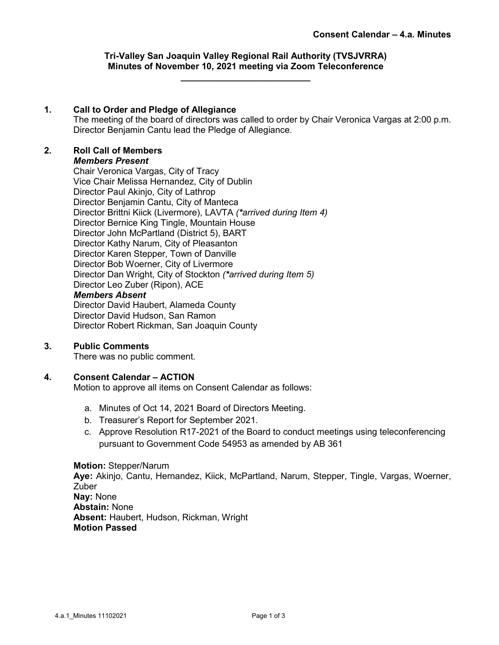# **Tri-Valley San Joaquin Valley Regional Rail Authority (TVSJVRRA) Minutes of November 10, 2021 meeting via Zoom Teleconference**

**\_\_\_\_\_\_\_\_\_\_\_\_\_\_\_\_\_\_\_\_\_\_\_\_\_\_**

## **1. Call to Order and Pledge of Allegiance**

The meeting of the board of directors was called to order by Chair Veronica Vargas at 2:00 p.m. Director Benjamin Cantu lead the Pledge of Allegiance.

# **2. Roll Call of Members**

## *Members Present*

Chair Veronica Vargas, City of Tracy Vice Chair Melissa Hernandez, City of Dublin Director Paul Akinjo, City of Lathrop Director Benjamin Cantu, City of Manteca Director Brittni Kiick (Livermore), LAVTA *(\*arrived during Item 4)* Director Bernice King Tingle, Mountain House Director John McPartland (District 5), BART Director Kathy Narum, City of Pleasanton Director Karen Stepper, Town of Danville Director Bob Woerner, City of Livermore Director Dan Wright, City of Stockton *(\*arrived during Item 5)* Director Leo Zuber (Ripon), ACE *Members Absent*

Director David Haubert, Alameda County Director David Hudson, San Ramon Director Robert Rickman, San Joaquin County

## **3. Public Comments**

There was no public comment.

## **4. Consent Calendar – ACTION**

Motion to approve all items on Consent Calendar as follows:

- a. Minutes of Oct 14, 2021 Board of Directors Meeting.
- b. Treasurer's Report for September 2021.
- c. Approve Resolution R17-2021 of the Board to conduct meetings using teleconferencing pursuant to Government Code 54953 as amended by AB 361

## **Motion:** Stepper/Narum

**Aye:** Akinjo, Cantu, Hernandez, Kiick, McPartland, Narum, Stepper, Tingle, Vargas, Woerner, Zuber **Nay:** None **Abstain:** None **Absent:** Haubert, Hudson, Rickman, Wright

**Motion Passed**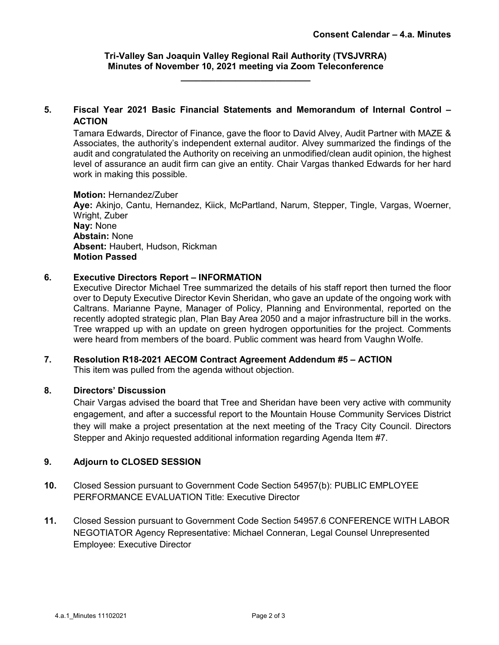## **Tri-Valley San Joaquin Valley Regional Rail Authority (TVSJVRRA) Minutes of November 10, 2021 meeting via Zoom Teleconference \_\_\_\_\_\_\_\_\_\_\_\_\_\_\_\_\_\_\_\_\_\_\_\_\_\_**

# **5. Fiscal Year 2021 Basic Financial Statements and Memorandum of Internal Control – ACTION**

Tamara Edwards, Director of Finance, gave the floor to David Alvey, Audit Partner with MAZE & Associates, the authority's independent external auditor. Alvey summarized the findings of the audit and congratulated the Authority on receiving an unmodified/clean audit opinion, the highest level of assurance an audit firm can give an entity. Chair Vargas thanked Edwards for her hard work in making this possible.

## **Motion:** Hernandez/Zuber

**Aye:** Akinjo, Cantu, Hernandez, Kiick, McPartland, Narum, Stepper, Tingle, Vargas, Woerner, Wright, Zuber **Nay:** None **Abstain:** None **Absent:** Haubert, Hudson, Rickman **Motion Passed**

# **6. Executive Directors Report – INFORMATION**

Executive Director Michael Tree summarized the details of his staff report then turned the floor over to Deputy Executive Director Kevin Sheridan, who gave an update of the ongoing work with Caltrans. Marianne Payne, Manager of Policy, Planning and Environmental, reported on the recently adopted strategic plan, Plan Bay Area 2050 and a major infrastructure bill in the works. Tree wrapped up with an update on green hydrogen opportunities for the project. Comments were heard from members of the board. Public comment was heard from Vaughn Wolfe.

# **7. Resolution R18-2021 AECOM Contract Agreement Addendum #5 – ACTION**

This item was pulled from the agenda without objection.

## **8. Directors' Discussion**

Chair Vargas advised the board that Tree and Sheridan have been very active with community engagement, and after a successful report to the Mountain House Community Services District they will make a project presentation at the next meeting of the Tracy City Council. Directors Stepper and Akinjo requested additional information regarding Agenda Item #7.

# **9. Adjourn to CLOSED SESSION**

- **10.** Closed Session pursuant to Government Code Section 54957(b): PUBLIC EMPLOYEE PERFORMANCE EVALUATION Title: Executive Director
- **11.** Closed Session pursuant to Government Code Section 54957.6 CONFERENCE WITH LABOR NEGOTIATOR Agency Representative: Michael Conneran, Legal Counsel Unrepresented Employee: Executive Director